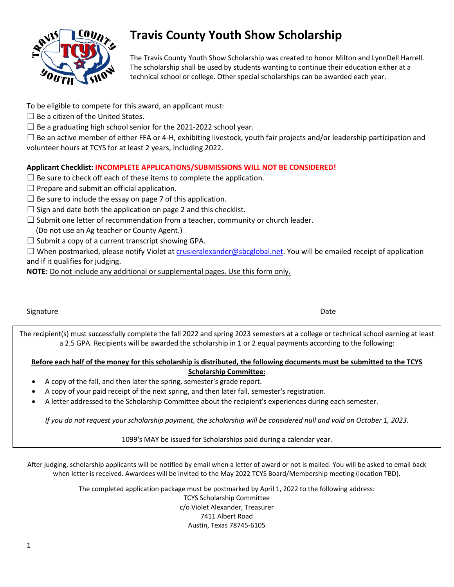

## **Travis County Youth Show Scholarship**

The Travis County Youth Show Scholarship was created to honor Milton and LynnDell Harrell. The scholarship shall be used by students wanting to continue their education either at a technical school or college. Other special scholarships can be awarded each year.

- To be eligible to compete for this award, an applicant must:
- $\Box$  Be a citizen of the United States.
- $\Box$  Be a graduating high school senior for the 2021-2022 school year.

 $\Box$  Be an active member of either FFA or 4-H, exhibiting livestock, youth fair projects and/or leadership participation and volunteer hours at TCYS for at least 2 years, including 2022.

#### **Applicant Checklist: INCOMPLETE APPLICATIONS/SUBMISSIONS WILL NOT BE CONSIDERED!**

- $\Box$  Be sure to check off each of these items to complete the application.
- $\Box$  Prepare and submit an official application.
- $\Box$  Be sure to include the essay on page 7 of this application.
- $\Box$  Sign and date both the application on page 2 and this checklist.
- $\square$  Submit one letter of recommendation from a teacher, community or church leader.
- (Do not use an Ag teacher or County Agent.)
- $\Box$  Submit a copy of a current transcript showing GPA.

 $\Box$  When postmarked, please notify Violet at [crusieralexander@sbcglobal.net.](mailto:crusieralexander@sbcglobal.net) You will be emailed receipt of application and if it qualifies for judging.

**NOTE:** Do not include any additional or supplemental pages. Use this form only.

Signature **Date** 

The recipient(s) must successfully complete the fall 2022 and spring 2023 semesters at a college or technical school earning at least a 2.5 GPA. Recipients will be awarded the scholarship in 1 or 2 equal payments according to the following:

#### **Before each half of the money for this scholarship is distributed, the following documents must be submitted to the TCYS Scholarship Committee:**

- A copy of the fall, and then later the spring, semester's grade report.
- A copy of your paid receipt of the next spring, and then later fall, semester's registration.
- A letter addressed to the Scholarship Committee about the recipient's experiences during each semester.

*If you do not request your scholarship payment, the scholarship will be considered null and void on October 1, 2023.*

1099's MAY be issued for Scholarships paid during a calendar year.

After judging, scholarship applicants will be notified by email when a letter of award or not is mailed. You will be asked to email back when letter is received. Awardees will be invited to the May 2022 TCYS Board/Membership meeting (location TBD).

> The completed application package must be postmarked by April 1, 2022 to the following address: TCYS Scholarship Committee c/o Violet Alexander, Treasurer 7411 Albert Road Austin, Texas 78745-6105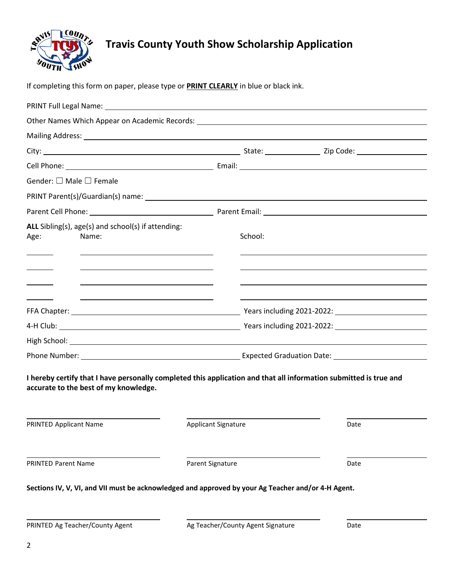

# **Travis County Youth Show Scholarship Application**

If completing this form on paper, please type or **PRINT CLEARLY** in blue or black ink.

| Gender: $\square$ Male $\square$ Female                                                                                                                    |                            |         |      |
|------------------------------------------------------------------------------------------------------------------------------------------------------------|----------------------------|---------|------|
|                                                                                                                                                            |                            |         |      |
|                                                                                                                                                            |                            |         |      |
| ALL Sibling(s), age(s) and school(s) if attending:<br>Name:<br>Age:<br>$\overline{\phantom{a}}$                                                            |                            | School: |      |
| 4-H Club: 2021-2022: 2001. [10] Years including 2021-2022: 2008. [10] Years including 2021-2022:                                                           |                            |         |      |
|                                                                                                                                                            |                            |         |      |
| I hereby certify that I have personally completed this application and that all information submitted is true and<br>accurate to the best of my knowledge. |                            |         |      |
| PRINTED Applicant Name                                                                                                                                     | <b>Applicant Signature</b> |         | Date |
| <b>PRINTED Parent Name</b><br>Parent Signature                                                                                                             |                            |         | Date |
| Sections IV, V, VI, and VII must be acknowledged and approved by your Ag Teacher and/or 4-H Agent.                                                         |                            |         |      |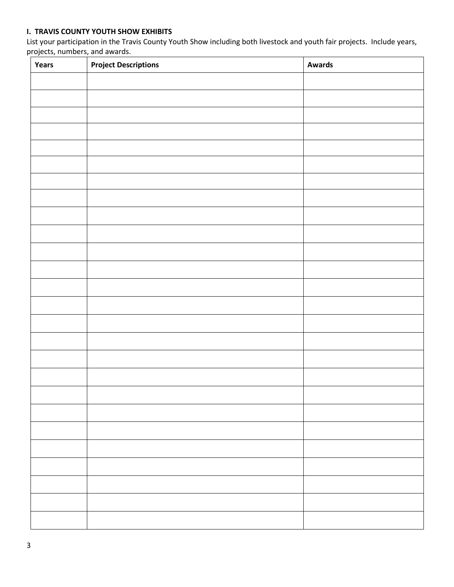## **I. TRAVIS COUNTY YOUTH SHOW EXHIBITS**

List your participation in the Travis County Youth Show including both livestock and youth fair projects. Include years, projects, numbers, and awards.

| Years | <b>Project Descriptions</b> | <b>Awards</b> |
|-------|-----------------------------|---------------|
|       |                             |               |
|       |                             |               |
|       |                             |               |
|       |                             |               |
|       |                             |               |
|       |                             |               |
|       |                             |               |
|       |                             |               |
|       |                             |               |
|       |                             |               |
|       |                             |               |
|       |                             |               |
|       |                             |               |
|       |                             |               |
|       |                             |               |
|       |                             |               |
|       |                             |               |
|       |                             |               |
|       |                             |               |
|       |                             |               |
|       |                             |               |
|       |                             |               |
|       |                             |               |
|       |                             |               |
|       |                             |               |
|       |                             |               |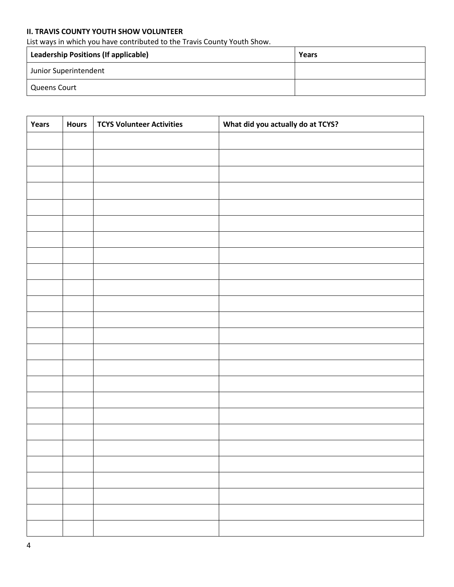## **II. TRAVIS COUNTY YOUTH SHOW VOLUNTEER**

List ways in which you have contributed to the Travis County Youth Show.

| Leadership Positions (If applicable) | Years |
|--------------------------------------|-------|
| Junior Superintendent                |       |
| Queens Court                         |       |

| Years | <b>Hours</b> | <b>TCYS Volunteer Activities</b> | What did you actually do at TCYS? |
|-------|--------------|----------------------------------|-----------------------------------|
|       |              |                                  |                                   |
|       |              |                                  |                                   |
|       |              |                                  |                                   |
|       |              |                                  |                                   |
|       |              |                                  |                                   |
|       |              |                                  |                                   |
|       |              |                                  |                                   |
|       |              |                                  |                                   |
|       |              |                                  |                                   |
|       |              |                                  |                                   |
|       |              |                                  |                                   |
|       |              |                                  |                                   |
|       |              |                                  |                                   |
|       |              |                                  |                                   |
|       |              |                                  |                                   |
|       |              |                                  |                                   |
|       |              |                                  |                                   |
|       |              |                                  |                                   |
|       |              |                                  |                                   |
|       |              |                                  |                                   |
|       |              |                                  |                                   |
|       |              |                                  |                                   |
|       |              |                                  |                                   |
|       |              |                                  |                                   |
|       |              |                                  |                                   |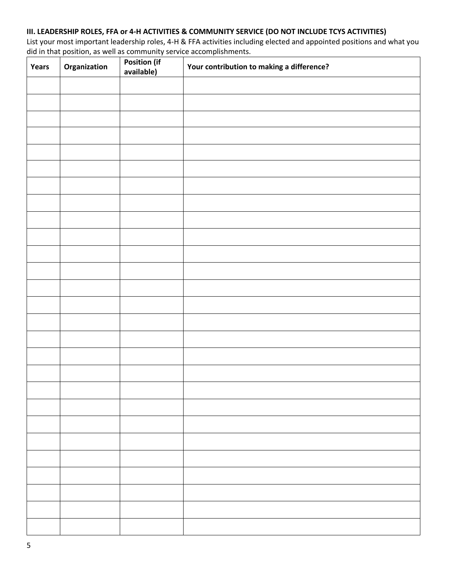## **III. LEADERSHIP ROLES, FFA or 4-H ACTIVITIES & COMMUNITY SERVICE (DO NOT INCLUDE TCYS ACTIVITIES)**

List your most important leadership roles, 4-H & FFA activities including elected and appointed positions and what you did in that position, as well as community service accomplishments.

| Years | Organization | <b>Position (if</b><br>available) | Your contribution to making a difference? |
|-------|--------------|-----------------------------------|-------------------------------------------|
|       |              |                                   |                                           |
|       |              |                                   |                                           |
|       |              |                                   |                                           |
|       |              |                                   |                                           |
|       |              |                                   |                                           |
|       |              |                                   |                                           |
|       |              |                                   |                                           |
|       |              |                                   |                                           |
|       |              |                                   |                                           |
|       |              |                                   |                                           |
|       |              |                                   |                                           |
|       |              |                                   |                                           |
|       |              |                                   |                                           |
|       |              |                                   |                                           |
|       |              |                                   |                                           |
|       |              |                                   |                                           |
|       |              |                                   |                                           |
|       |              |                                   |                                           |
|       |              |                                   |                                           |
|       |              |                                   |                                           |
|       |              |                                   |                                           |
|       |              |                                   |                                           |
|       |              |                                   |                                           |
|       |              |                                   |                                           |
|       |              |                                   |                                           |
|       |              |                                   |                                           |
|       |              |                                   |                                           |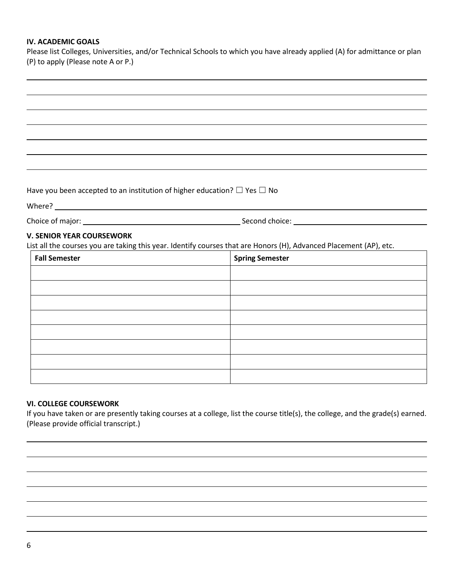### **IV. ACADEMIC GOALS**

Please list Colleges, Universities, and/or Technical Schools to which you have already applied (A) for admittance or plan (P) to apply (Please note A or P.)

Have you been accepted to an institution of higher education?  $\Box$  Yes  $\Box$  No

Where? Next, where a set of the set of the set of the set of the set of the set of the set of the set of the set of the set of the set of the set of the set of the set of the set of the set of the set of the set of the set

Choice of major: Second choice:

#### **V. SENIOR YEAR COURSEWORK**

List all the courses you are taking this year. Identify courses that are Honors (H), Advanced Placement (AP), etc.

| <b>Fall Semester</b> | <b>Spring Semester</b> |
|----------------------|------------------------|
|                      |                        |
|                      |                        |
|                      |                        |
|                      |                        |
|                      |                        |
|                      |                        |
|                      |                        |
|                      |                        |

#### **VI. COLLEGE COURSEWORK**

If you have taken or are presently taking courses at a college, list the course title(s), the college, and the grade(s) earned. (Please provide official transcript.)